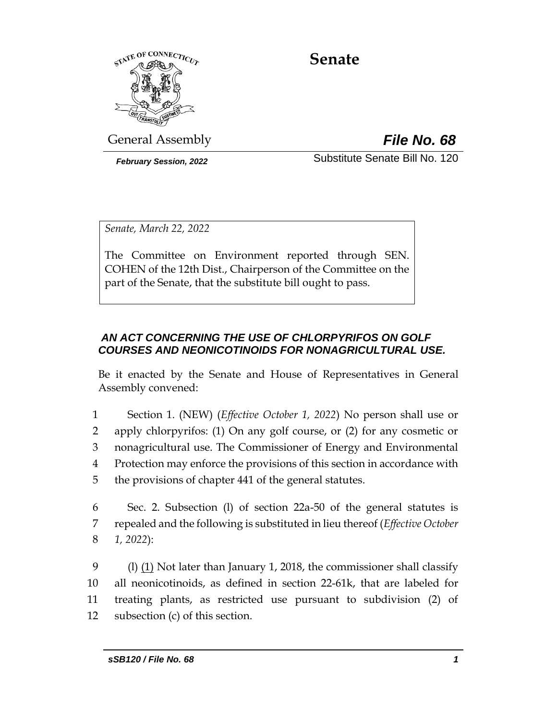

# **Senate**

General Assembly *File No. 68*

*February Session, 2022* Substitute Senate Bill No. 120

*Senate, March 22, 2022*

The Committee on Environment reported through SEN. COHEN of the 12th Dist., Chairperson of the Committee on the part of the Senate, that the substitute bill ought to pass.

## *AN ACT CONCERNING THE USE OF CHLORPYRIFOS ON GOLF COURSES AND NEONICOTINOIDS FOR NONAGRICULTURAL USE.*

Be it enacted by the Senate and House of Representatives in General Assembly convened:

 Section 1. (NEW) (*Effective October 1, 2022*) No person shall use or apply chlorpyrifos: (1) On any golf course, or (2) for any cosmetic or nonagricultural use. The Commissioner of Energy and Environmental Protection may enforce the provisions of this section in accordance with the provisions of chapter 441 of the general statutes.

6 Sec. 2. Subsection (l) of section 22a-50 of the general statutes is 7 repealed and the following is substituted in lieu thereof (*Effective October*  8 *1, 2022*):

 (l) (1) Not later than January 1, 2018, the commissioner shall classify all neonicotinoids, as defined in section 22-61k, that are labeled for treating plants, as restricted use pursuant to subdivision (2) of subsection (c) of this section.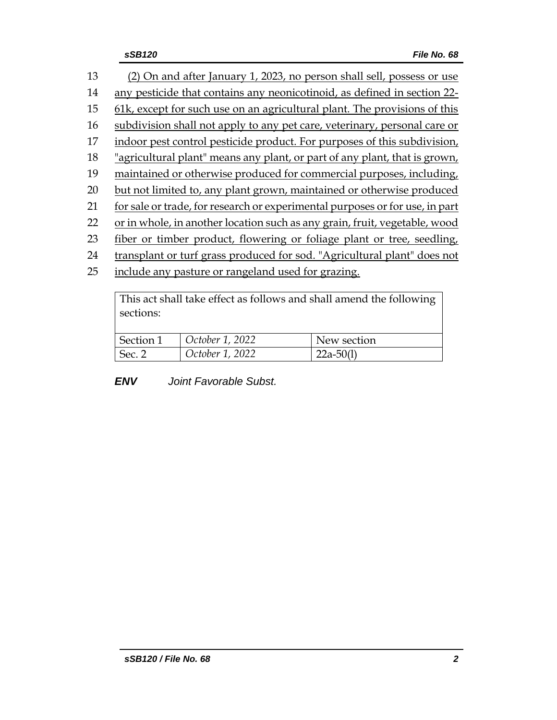| 13 | (2) On and after January 1, 2023, no person shall sell, possess or use       |
|----|------------------------------------------------------------------------------|
| 14 | any pesticide that contains any neonicotinoid, as defined in section 22-     |
| 15 | 61k, except for such use on an agricultural plant. The provisions of this    |
| 16 | subdivision shall not apply to any pet care, veterinary, personal care or    |
| 17 | indoor pest control pesticide product. For purposes of this subdivision,     |
| 18 | "agricultural plant" means any plant, or part of any plant, that is grown,   |
| 19 | maintained or otherwise produced for commercial purposes, including,         |
| 20 | but not limited to, any plant grown, maintained or otherwise produced        |
| 21 | for sale or trade, for research or experimental purposes or for use, in part |
| 22 | or in whole, in another location such as any grain, fruit, vegetable, wood   |
| 23 | fiber or timber product, flowering or foliage plant or tree, seedling,       |
| 24 | transplant or turf grass produced for sod. "Agricultural plant" does not     |
| 25 | include any pasture or rangeland used for grazing.                           |
|    |                                                                              |

This act shall take effect as follows and shall amend the following sections:

| Section 1 | October 1, 2022 | New section  |
|-----------|-----------------|--------------|
| Sec. 2    | October 1, 2022 | $-22a-50(1)$ |

*ENV Joint Favorable Subst.*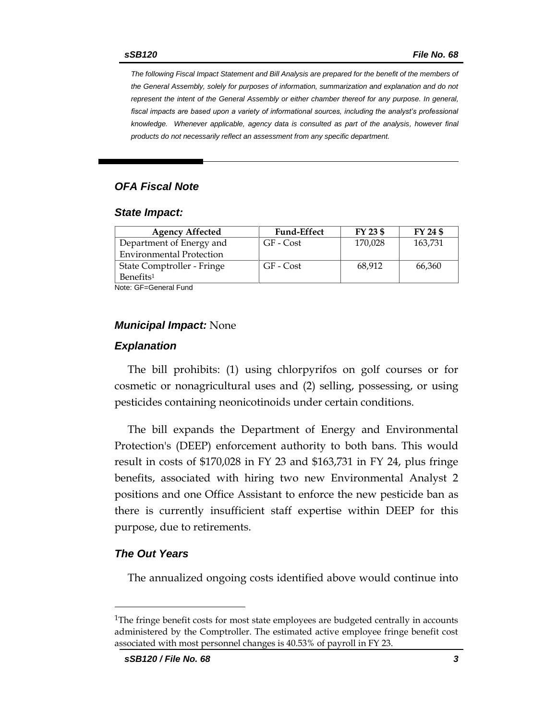*The following Fiscal Impact Statement and Bill Analysis are prepared for the benefit of the members of the General Assembly, solely for purposes of information, summarization and explanation and do not represent the intent of the General Assembly or either chamber thereof for any purpose. In general,*  fiscal impacts are based upon a variety of informational sources, including the analyst's professional *knowledge. Whenever applicable, agency data is consulted as part of the analysis, however final products do not necessarily reflect an assessment from any specific department.*

#### *OFA Fiscal Note*

#### *State Impact:*

| <b>Agency Affected</b>          | <b>Fund-Effect</b> | FY 23 \$ | FY 24 \$ |
|---------------------------------|--------------------|----------|----------|
| Department of Energy and        | GF - Cost          | 170,028  | 163,731  |
| <b>Environmental Protection</b> |                    |          |          |
| State Comptroller - Fringe      | GF - Cost          | 68,912   | 66,360   |
| Benefits <sup>1</sup>           |                    |          |          |

Note: GF=General Fund

#### *Municipal Impact:* None

#### *Explanation*

The bill prohibits: (1) using chlorpyrifos on golf courses or for cosmetic or nonagricultural uses and (2) selling, possessing, or using pesticides containing neonicotinoids under certain conditions.

The bill expands the Department of Energy and Environmental Protection's (DEEP) enforcement authority to both bans. This would result in costs of \$170,028 in FY 23 and \$163,731 in FY 24, plus fringe benefits, associated with hiring two new Environmental Analyst 2 positions and one Office Assistant to enforce the new pesticide ban as there is currently insufficient staff expertise within DEEP for this purpose, due to retirements.

#### *The Out Years*

The annualized ongoing costs identified above would continue into

<sup>&</sup>lt;sup>1</sup>The fringe benefit costs for most state employees are budgeted centrally in accounts administered by the Comptroller. The estimated active employee fringe benefit cost associated with most personnel changes is 40.53% of payroll in FY 23.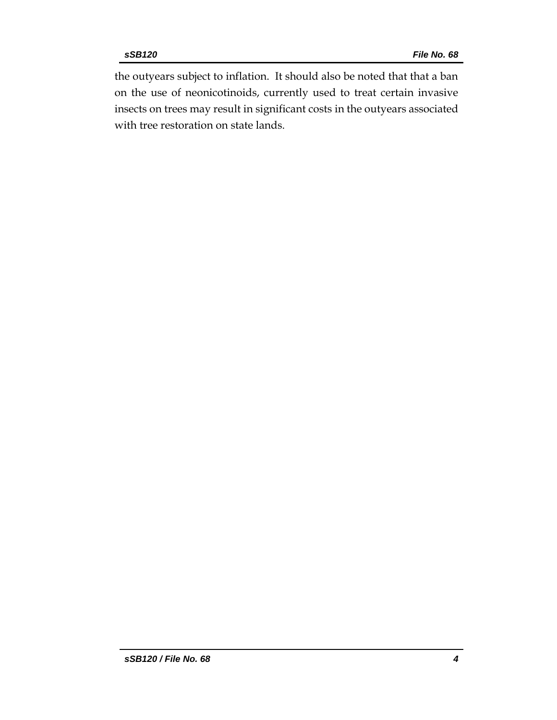the outyears subject to inflation. It should also be noted that that a ban on the use of neonicotinoids, currently used to treat certain invasive insects on trees may result in significant costs in the outyears associated with tree restoration on state lands.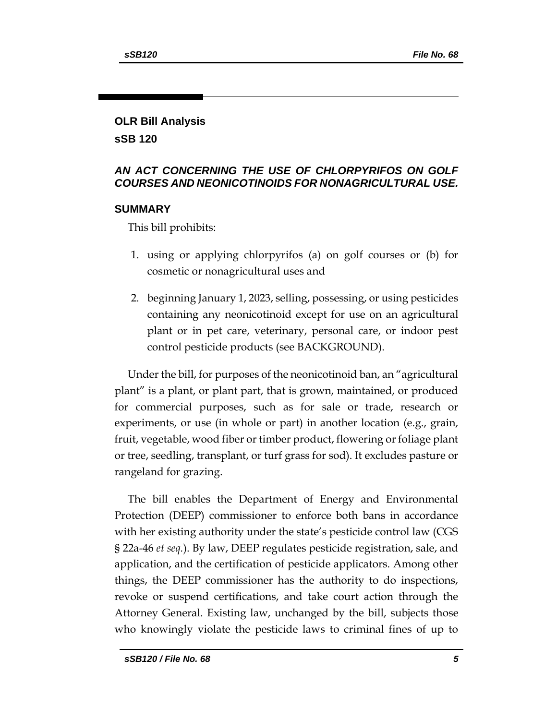### **OLR Bill Analysis sSB 120**

*AN ACT CONCERNING THE USE OF CHLORPYRIFOS ON GOLF COURSES AND NEONICOTINOIDS FOR NONAGRICULTURAL USE.*

### **SUMMARY**

This bill prohibits:

- 1. using or applying chlorpyrifos (a) on golf courses or (b) for cosmetic or nonagricultural uses and
- 2. beginning January 1, 2023, selling, possessing, or using pesticides containing any neonicotinoid except for use on an agricultural plant or in pet care, veterinary, personal care, or indoor pest control pesticide products (see BACKGROUND).

Under the bill, for purposes of the neonicotinoid ban, an "agricultural plant" is a plant, or plant part, that is grown, maintained, or produced for commercial purposes, such as for sale or trade, research or experiments, or use (in whole or part) in another location (e.g., grain, fruit, vegetable, wood fiber or timber product, flowering or foliage plant or tree, seedling, transplant, or turf grass for sod). It excludes pasture or rangeland for grazing.

The bill enables the Department of Energy and Environmental Protection (DEEP) commissioner to enforce both bans in accordance with her existing authority under the state's pesticide control law (CGS § 22a-46 *et seq.*). By law, DEEP regulates pesticide registration, sale, and application, and the certification of pesticide applicators. Among other things, the DEEP commissioner has the authority to do inspections, revoke or suspend certifications, and take court action through the Attorney General. Existing law, unchanged by the bill, subjects those who knowingly violate the pesticide laws to criminal fines of up to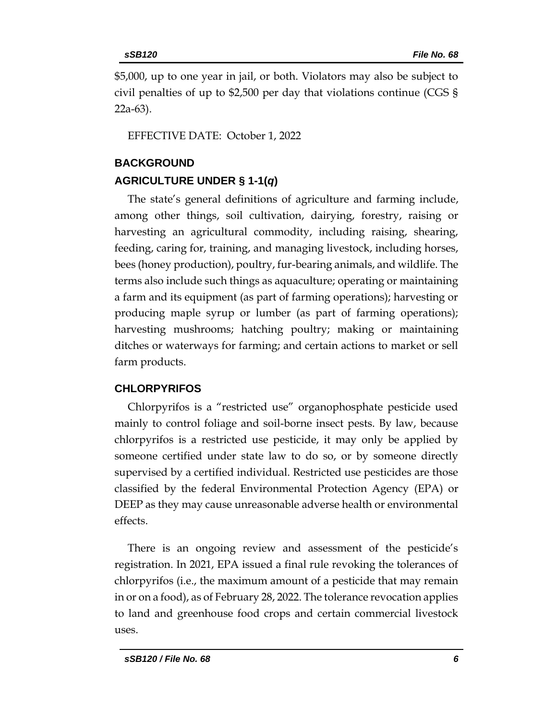\$5,000, up to one year in jail, or both. Violators may also be subject to civil penalties of up to \$2,500 per day that violations continue (CGS § 22a-63).

EFFECTIVE DATE: October 1, 2022

#### **BACKGROUND**

### **AGRICULTURE UNDER § 1-1(***q***)**

The state's general definitions of agriculture and farming include, among other things, soil cultivation, dairying, forestry, raising or harvesting an agricultural commodity, including raising, shearing, feeding, caring for, training, and managing livestock, including horses, bees (honey production), poultry, fur-bearing animals, and wildlife. The terms also include such things as aquaculture; operating or maintaining a farm and its equipment (as part of farming operations); harvesting or producing maple syrup or lumber (as part of farming operations); harvesting mushrooms; hatching poultry; making or maintaining ditches or waterways for farming; and certain actions to market or sell farm products.

### **CHLORPYRIFOS**

Chlorpyrifos is a "restricted use" organophosphate pesticide used mainly to control foliage and soil-borne insect pests. By law, because chlorpyrifos is a restricted use pesticide, it may only be applied by someone certified under state law to do so, or by someone directly supervised by a certified individual. Restricted use pesticides are those classified by the federal Environmental Protection Agency (EPA) or DEEP as they may cause unreasonable adverse health or environmental effects.

There is an ongoing review and assessment of the pesticide's registration. In 2021, EPA issued a final rule revoking the tolerances of chlorpyrifos (i.e., the maximum amount of a pesticide that may remain in or on a food), as of February 28, 2022. The tolerance revocation applies to land and greenhouse food crops and certain commercial livestock uses.